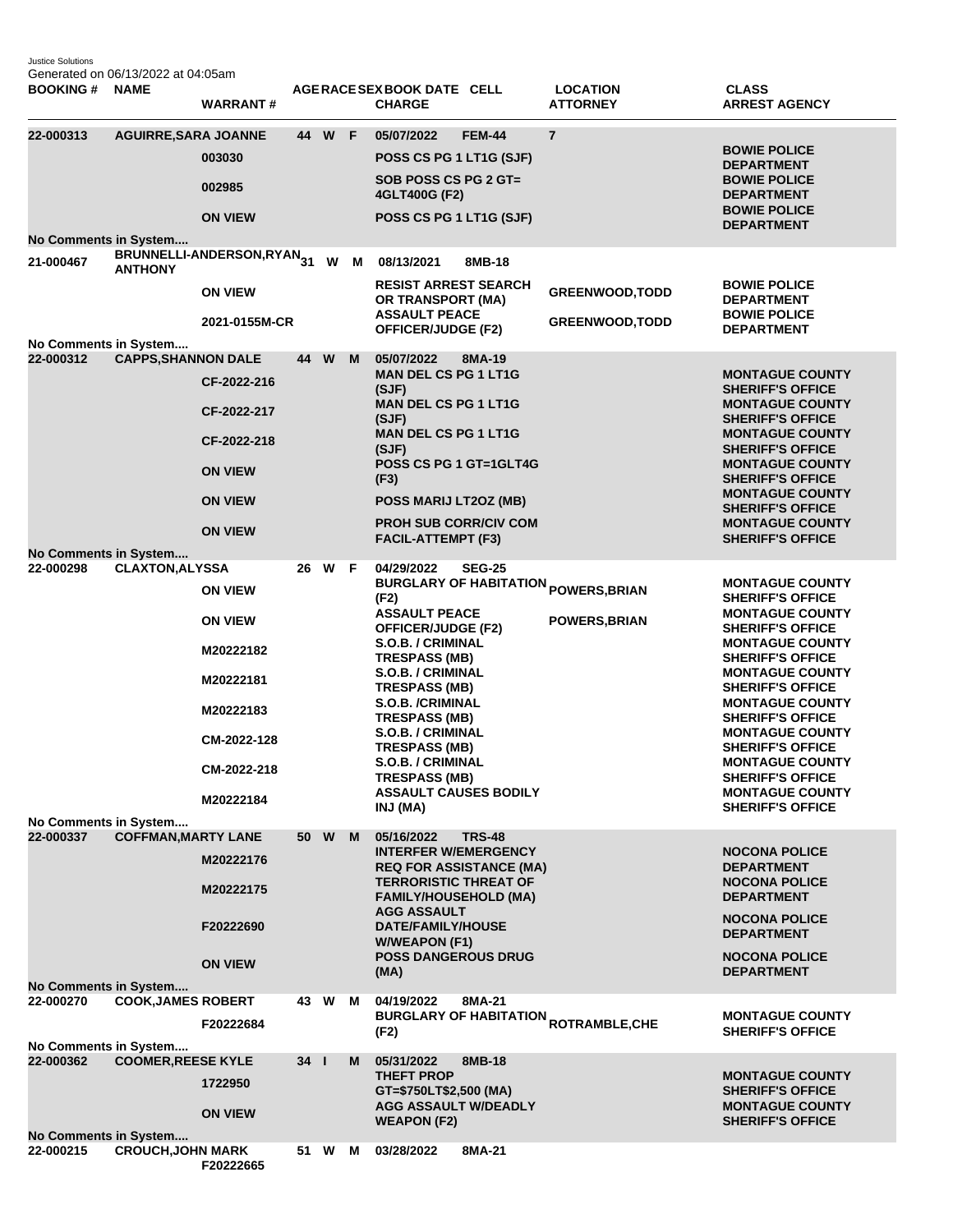Justice Solutions Generated on 06/13/2022 at 04:05am

| <b>BOOKING#</b>                                             | <b>NAME</b>                 | <b>WARRANT#</b>                                                                                                    |                               |        |   | AGERACE SEX BOOK DATE CELL<br><b>CHARGE</b>                                                                                                                                                                                                                                                                                                                              |               | <b>LOCATION</b><br><b>ATTORNEY</b>                                            | <b>CLASS</b><br><b>ARREST AGENCY</b>                                                                                                                                                                                                                                                                                                                                                                                                 |
|-------------------------------------------------------------|-----------------------------|--------------------------------------------------------------------------------------------------------------------|-------------------------------|--------|---|--------------------------------------------------------------------------------------------------------------------------------------------------------------------------------------------------------------------------------------------------------------------------------------------------------------------------------------------------------------------------|---------------|-------------------------------------------------------------------------------|--------------------------------------------------------------------------------------------------------------------------------------------------------------------------------------------------------------------------------------------------------------------------------------------------------------------------------------------------------------------------------------------------------------------------------------|
| 22-000313<br>No Comments in System                          | <b>AGUIRRE, SARA JOANNE</b> | 003030<br>002985<br><b>ON VIEW</b>                                                                                 |                               | 44 W F |   | 05/07/2022<br>POSS CS PG 1 LT1G (SJF)<br>SOB POSS CS PG 2 GT=<br>4GLT400G (F2)<br>POSS CS PG 1 LT1G (SJF)                                                                                                                                                                                                                                                                | <b>FEM-44</b> | $\overline{7}$                                                                | <b>BOWIE POLICE</b><br><b>DEPARTMENT</b><br><b>BOWIE POLICE</b><br><b>DEPARTMENT</b><br><b>BOWIE POLICE</b><br><b>DEPARTMENT</b>                                                                                                                                                                                                                                                                                                     |
| 21-000467                                                   | <b>ANTHONY</b>              | BRUNNELLI-ANDERSON,RYAN31<br><b>ON VIEW</b><br>2021-0155M-CR                                                       |                               | W      | M | 08/13/2021<br><b>RESIST ARREST SEARCH</b><br>OR TRANSPORT (MA)<br><b>ASSAULT PEACE</b><br>OFFICER/JUDGE (F2)                                                                                                                                                                                                                                                             | 8MB-18        | <b>GREENWOOD, TODD</b><br><b>GREENWOOD, TODD</b>                              | <b>BOWIE POLICE</b><br><b>DEPARTMENT</b><br><b>BOWIE POLICE</b><br><b>DEPARTMENT</b>                                                                                                                                                                                                                                                                                                                                                 |
| No Comments in System<br>22-000312                          | <b>CAPPS, SHANNON DALE</b>  | CF-2022-216<br>CF-2022-217<br>CF-2022-218<br><b>ON VIEW</b><br><b>ON VIEW</b><br><b>ON VIEW</b>                    | 44 W                          |        | M | 05/07/2022<br><b>MAN DEL CS PG 1 LT1G</b><br>(SJF)<br><b>MAN DEL CS PG 1 LT1G</b><br>(SJF)<br><b>MAN DEL CS PG 1 LT1G</b><br>(SJF)<br>POSS CS PG 1 GT=1GLT4G<br>(F3)<br>POSS MARIJ LT2OZ (MB)<br><b>PROH SUB CORR/CIV COM</b><br><b>FACIL-ATTEMPT (F3)</b>                                                                                                               | 8MA-19        |                                                                               | <b>MONTAGUE COUNTY</b><br><b>SHERIFF'S OFFICE</b><br><b>MONTAGUE COUNTY</b><br><b>SHERIFF'S OFFICE</b><br><b>MONTAGUE COUNTY</b><br><b>SHERIFF'S OFFICE</b><br><b>MONTAGUE COUNTY</b><br><b>SHERIFF'S OFFICE</b><br><b>MONTAGUE COUNTY</b><br><b>SHERIFF'S OFFICE</b><br><b>MONTAGUE COUNTY</b><br><b>SHERIFF'S OFFICE</b>                                                                                                           |
| No Comments in System<br>22-000298<br>No Comments in System | <b>CLAXTON, ALYSSA</b>      | <b>ON VIEW</b><br><b>ON VIEW</b><br>M20222182<br>M20222181<br>M20222183<br>CM-2022-128<br>CM-2022-218<br>M20222184 | 26                            | W      | F | 04/29/2022<br>(F2)<br><b>ASSAULT PEACE</b><br><b>OFFICER/JUDGE (F2)</b><br>S.O.B. / CRIMINAL<br><b>TRESPASS (MB)</b><br><b>S.O.B. / CRIMINAL</b><br><b>TRESPASS (MB)</b><br><b>S.O.B. /CRIMINAL</b><br><b>TRESPASS (MB)</b><br>S.O.B. / CRIMINAL<br><b>TRESPASS (MB)</b><br><b>S.O.B. / CRIMINAL</b><br><b>TRESPASS (MB)</b><br><b>ASSAULT CAUSES BODILY</b><br>INJ (MA) | <b>SEG-25</b> | <b>BURGLARY OF HABITATION <sub>POWERS,BRIAN</sub></b><br><b>POWERS, BRIAN</b> | <b>MONTAGUE COUNTY</b><br><b>SHERIFF'S OFFICE</b><br><b>MONTAGUE COUNTY</b><br><b>SHERIFF'S OFFICE</b><br><b>MONTAGUE COUNTY</b><br><b>SHERIFF'S OFFICE</b><br><b>MONTAGUE COUNTY</b><br><b>SHERIFF'S OFFICE</b><br><b>MONTAGUE COUNTY</b><br><b>SHERIFF'S OFFICE</b><br><b>MONTAGUE COUNTY</b><br><b>SHERIFF'S OFFICE</b><br><b>MONTAGUE COUNTY</b><br><b>SHERIFF'S OFFICE</b><br><b>MONTAGUE COUNTY</b><br><b>SHERIFF'S OFFICE</b> |
| 22-000337                                                   | <b>COFFMAN, MARTY LANE</b>  | M20222176<br>M20222175<br>F20222690<br><b>ON VIEW</b>                                                              | 50 W                          |        | M | 05/16/2022<br><b>INTERFER W/EMERGENCY</b><br><b>REQ FOR ASSISTANCE (MA)</b><br><b>TERRORISTIC THREAT OF</b><br><b>FAMILY/HOUSEHOLD (MA)</b><br><b>AGG ASSAULT</b><br><b>DATE/FAMILY/HOUSE</b><br><b>W/WEAPON (F1)</b><br><b>POSS DANGEROUS DRUG</b><br>(MA)                                                                                                              | <b>TRS-48</b> |                                                                               | <b>NOCONA POLICE</b><br><b>DEPARTMENT</b><br><b>NOCONA POLICE</b><br><b>DEPARTMENT</b><br><b>NOCONA POLICE</b><br><b>DEPARTMENT</b><br><b>NOCONA POLICE</b><br><b>DEPARTMENT</b>                                                                                                                                                                                                                                                     |
| No Comments in System<br>22-000270<br>No Comments in System | <b>COOK, JAMES ROBERT</b>   | F20222684                                                                                                          |                               | 43 W M |   | 04/19/2022<br>(F2)                                                                                                                                                                                                                                                                                                                                                       | 8MA-21        | <b>BURGLARY OF HABITATION <sub>ROTRAMBLE,CHE</sub></b>                        | <b>MONTAGUE COUNTY</b><br><b>SHERIFF'S OFFICE</b>                                                                                                                                                                                                                                                                                                                                                                                    |
| 22-000362                                                   | <b>COOMER, REESE KYLE</b>   | 1722950<br><b>ON VIEW</b>                                                                                          | $34$ $\overline{\phantom{0}}$ |        | M | 05/31/2022<br><b>THEFT PROP</b><br>GT=\$750LT\$2,500 (MA)<br><b>AGG ASSAULT W/DEADLY</b><br><b>WEAPON (F2)</b>                                                                                                                                                                                                                                                           | 8MB-18        |                                                                               | <b>MONTAGUE COUNTY</b><br><b>SHERIFF'S OFFICE</b><br><b>MONTAGUE COUNTY</b><br><b>SHERIFF'S OFFICE</b>                                                                                                                                                                                                                                                                                                                               |
| No Comments in System<br>22-000215                          | <b>CROUCH, JOHN MARK</b>    | F20222665                                                                                                          |                               | 51 W M |   | 03/28/2022                                                                                                                                                                                                                                                                                                                                                               | 8MA-21        |                                                                               |                                                                                                                                                                                                                                                                                                                                                                                                                                      |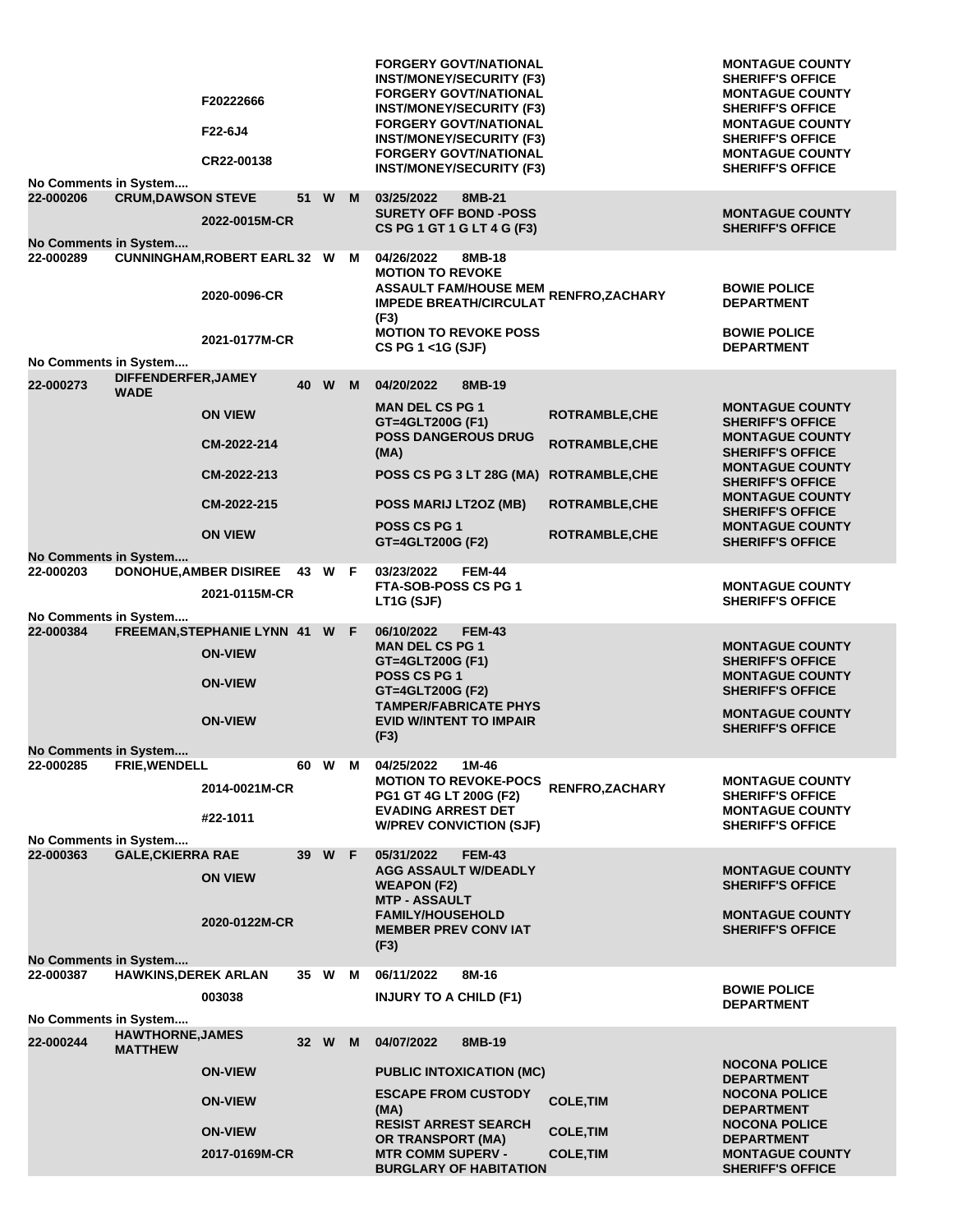|                       |                             | F20222666<br>F22-6J4<br>CR22-00138                  |      |        |   | <b>FORGERY GOVT/NATIONAL</b><br><b>INST/MONEY/SECURITY (F3)</b><br><b>FORGERY GOVT/NATIONAL</b><br><b>INST/MONEY/SECURITY (F3)</b><br><b>FORGERY GOVT/NATIONAL</b><br><b>INST/MONEY/SECURITY (F3)</b><br><b>FORGERY GOVT/NATIONAL</b><br><b>INST/MONEY/SECURITY (F3)</b> |                       | <b>MONTAGUE COUNTY</b><br><b>SHERIFF'S OFFICE</b><br><b>MONTAGUE COUNTY</b><br><b>SHERIFF'S OFFICE</b><br><b>MONTAGUE COUNTY</b><br><b>SHERIFF'S OFFICE</b><br><b>MONTAGUE COUNTY</b><br><b>SHERIFF'S OFFICE</b> |
|-----------------------|-----------------------------|-----------------------------------------------------|------|--------|---|--------------------------------------------------------------------------------------------------------------------------------------------------------------------------------------------------------------------------------------------------------------------------|-----------------------|------------------------------------------------------------------------------------------------------------------------------------------------------------------------------------------------------------------|
| No Comments in System |                             |                                                     |      |        |   |                                                                                                                                                                                                                                                                          |                       |                                                                                                                                                                                                                  |
| 22-000206             | <b>CRUM, DAWSON STEVE</b>   |                                                     | 51 W |        | M | 03/25/2022<br>8MB-21                                                                                                                                                                                                                                                     |                       |                                                                                                                                                                                                                  |
| No Comments in System |                             | 2022-0015M-CR                                       |      |        |   | <b>SURETY OFF BOND -POSS</b><br>CS PG 1 GT 1 G LT 4 G (F3)                                                                                                                                                                                                               |                       | <b>MONTAGUE COUNTY</b><br><b>SHERIFF'S OFFICE</b>                                                                                                                                                                |
|                       |                             |                                                     |      |        |   |                                                                                                                                                                                                                                                                          |                       |                                                                                                                                                                                                                  |
| 22-000289             |                             | <b>CUNNINGHAM, ROBERT EARL 32 W</b><br>2020-0096-CR |      |        | M | 04/26/2022<br>8MB-18<br><b>MOTION TO REVOKE</b><br>ASSAULT FAM/HOUSE MEM<br>ASSAULT FAM/HOUSE MEM RENFRO,ZACHARY<br><b>IMPEDE BREATH/CIRCULAT</b><br>(F3)                                                                                                                |                       | <b>BOWIE POLICE</b><br><b>DEPARTMENT</b>                                                                                                                                                                         |
|                       |                             | 2021-0177M-CR                                       |      |        |   | <b>MOTION TO REVOKE POSS</b>                                                                                                                                                                                                                                             |                       | <b>BOWIE POLICE</b>                                                                                                                                                                                              |
|                       |                             |                                                     |      |        |   | CS PG 1 <1G (SJF)                                                                                                                                                                                                                                                        |                       | <b>DEPARTMENT</b>                                                                                                                                                                                                |
| No Comments in System |                             |                                                     |      |        |   |                                                                                                                                                                                                                                                                          |                       |                                                                                                                                                                                                                  |
|                       | DIFFENDERFER, JAMEY         |                                                     |      |        |   |                                                                                                                                                                                                                                                                          |                       |                                                                                                                                                                                                                  |
| 22-000273             | <b>WADE</b>                 |                                                     |      | 40 W M |   | 04/20/2022<br>8MB-19                                                                                                                                                                                                                                                     |                       |                                                                                                                                                                                                                  |
|                       |                             | <b>ON VIEW</b>                                      |      |        |   | <b>MAN DEL CS PG 1</b><br>GT=4GLT200G (F1)                                                                                                                                                                                                                               | <b>ROTRAMBLE, CHE</b> | <b>MONTAGUE COUNTY</b><br><b>SHERIFF'S OFFICE</b>                                                                                                                                                                |
|                       |                             | CM-2022-214                                         |      |        |   | <b>POSS DANGEROUS DRUG</b><br>(MA)                                                                                                                                                                                                                                       | <b>ROTRAMBLE, CHE</b> | <b>MONTAGUE COUNTY</b><br><b>SHERIFF'S OFFICE</b>                                                                                                                                                                |
|                       |                             | CM-2022-213                                         |      |        |   | POSS CS PG 3 LT 28G (MA)                                                                                                                                                                                                                                                 | <b>ROTRAMBLE, CHE</b> | <b>MONTAGUE COUNTY</b><br><b>SHERIFF'S OFFICE</b><br><b>MONTAGUE COUNTY</b>                                                                                                                                      |
|                       |                             | CM-2022-215                                         |      |        |   | POSS MARIJ LT2OZ (MB)                                                                                                                                                                                                                                                    | <b>ROTRAMBLE, CHE</b> | <b>SHERIFF'S OFFICE</b>                                                                                                                                                                                          |
|                       |                             |                                                     |      |        |   | POSS CS PG 1                                                                                                                                                                                                                                                             |                       | <b>MONTAGUE COUNTY</b>                                                                                                                                                                                           |
|                       |                             | <b>ON VIEW</b>                                      |      |        |   | GT=4GLT200G (F2)                                                                                                                                                                                                                                                         | <b>ROTRAMBLE, CHE</b> | <b>SHERIFF'S OFFICE</b>                                                                                                                                                                                          |
| No Comments in System |                             |                                                     |      |        |   |                                                                                                                                                                                                                                                                          |                       |                                                                                                                                                                                                                  |
| 22-000203             |                             | DONOHUE, AMBER DISIREE 43 W F                       |      |        |   | 03/23/2022<br><b>FEM-44</b>                                                                                                                                                                                                                                              |                       |                                                                                                                                                                                                                  |
|                       |                             | 2021-0115M-CR                                       |      |        |   | FTA-SOB-POSS CS PG 1<br>LT1G (SJF)                                                                                                                                                                                                                                       |                       | <b>MONTAGUE COUNTY</b><br><b>SHERIFF'S OFFICE</b>                                                                                                                                                                |
| No Comments in System |                             |                                                     |      |        |   |                                                                                                                                                                                                                                                                          |                       |                                                                                                                                                                                                                  |
| 22-000384             |                             | FREEMAN, STEPHANIE LYNN 41 W F                      |      |        |   | 06/10/2022<br><b>FEM-43</b>                                                                                                                                                                                                                                              |                       |                                                                                                                                                                                                                  |
|                       |                             | <b>ON-VIEW</b>                                      |      |        |   | <b>MAN DEL CS PG 1</b><br>GT=4GLT200G (F1)                                                                                                                                                                                                                               |                       | <b>MONTAGUE COUNTY</b><br><b>SHERIFF'S OFFICE</b>                                                                                                                                                                |
|                       |                             | <b>ON-VIEW</b>                                      |      |        |   | POSS CS PG 1<br>GT=4GLT200G (F2)<br><b>TAMPER/FABRICATE PHYS</b>                                                                                                                                                                                                         |                       | <b>MONTAGUE COUNTY</b><br><b>SHERIFF'S OFFICE</b>                                                                                                                                                                |
|                       |                             | <b>ON-VIEW</b>                                      |      |        |   | <b>EVID W/INTENT TO IMPAIR</b>                                                                                                                                                                                                                                           |                       | <b>MONTAGUE COUNTY</b>                                                                                                                                                                                           |
|                       |                             |                                                     |      |        |   | (F3)                                                                                                                                                                                                                                                                     |                       | <b>SHERIFF'S OFFICE</b>                                                                                                                                                                                          |
| No Comments in System |                             |                                                     |      |        |   |                                                                                                                                                                                                                                                                          |                       |                                                                                                                                                                                                                  |
| 22-000285             | FRIE, WENDELL               |                                                     |      | 60 W M |   | 04/25/2022<br>1M-46                                                                                                                                                                                                                                                      |                       |                                                                                                                                                                                                                  |
|                       |                             |                                                     |      |        |   | <b>MOTION TO REVOKE-POCS</b>                                                                                                                                                                                                                                             |                       | <b>MONTAGUE COUNTY</b>                                                                                                                                                                                           |
|                       |                             | 2014-0021M-CR                                       |      |        |   | PG1 GT 4G LT 200G (F2)                                                                                                                                                                                                                                                   | RENFRO, ZACHARY       | <b>SHERIFF'S OFFICE</b>                                                                                                                                                                                          |
|                       |                             |                                                     |      |        |   | <b>EVADING ARREST DET</b>                                                                                                                                                                                                                                                |                       | <b>MONTAGUE COUNTY</b>                                                                                                                                                                                           |
|                       |                             | #22-1011                                            |      |        |   | <b>W/PREV CONVICTION (SJF)</b>                                                                                                                                                                                                                                           |                       | <b>SHERIFF'S OFFICE</b>                                                                                                                                                                                          |
| No Comments in System |                             |                                                     |      |        |   |                                                                                                                                                                                                                                                                          |                       |                                                                                                                                                                                                                  |
| 22-000363             | <b>GALE, CKIERRA RAE</b>    |                                                     |      | 39 W F |   | 05/31/2022<br><b>FEM-43</b>                                                                                                                                                                                                                                              |                       |                                                                                                                                                                                                                  |
|                       |                             | <b>ON VIEW</b>                                      |      |        |   | <b>AGG ASSAULT W/DEADLY</b><br><b>WEAPON (F2)</b>                                                                                                                                                                                                                        |                       | <b>MONTAGUE COUNTY</b><br><b>SHERIFF'S OFFICE</b>                                                                                                                                                                |
|                       |                             |                                                     |      |        |   | <b>MTP - ASSAULT</b>                                                                                                                                                                                                                                                     |                       |                                                                                                                                                                                                                  |
|                       |                             | 2020-0122M-CR                                       |      |        |   | <b>FAMILY/HOUSEHOLD</b>                                                                                                                                                                                                                                                  |                       | <b>MONTAGUE COUNTY</b><br><b>SHERIFF'S OFFICE</b>                                                                                                                                                                |
|                       |                             |                                                     |      |        |   | <b>MEMBER PREV CONVIAT</b>                                                                                                                                                                                                                                               |                       |                                                                                                                                                                                                                  |
| No Comments in System |                             |                                                     |      |        |   | (F3)                                                                                                                                                                                                                                                                     |                       |                                                                                                                                                                                                                  |
| 22-000387             | <b>HAWKINS, DEREK ARLAN</b> |                                                     | 35 W |        | M | 06/11/2022<br>8M-16                                                                                                                                                                                                                                                      |                       |                                                                                                                                                                                                                  |
|                       |                             |                                                     |      |        |   |                                                                                                                                                                                                                                                                          |                       | <b>BOWIE POLICE</b>                                                                                                                                                                                              |
|                       |                             | 003038                                              |      |        |   | <b>INJURY TO A CHILD (F1)</b>                                                                                                                                                                                                                                            |                       | <b>DEPARTMENT</b>                                                                                                                                                                                                |
| No Comments in System |                             |                                                     |      |        |   |                                                                                                                                                                                                                                                                          |                       |                                                                                                                                                                                                                  |
|                       | <b>HAWTHORNE, JAMES</b>     |                                                     |      |        |   |                                                                                                                                                                                                                                                                          |                       |                                                                                                                                                                                                                  |
| 22-000244             | <b>MATTHEW</b>              |                                                     | 32 W |        | M | 04/07/2022<br>8MB-19                                                                                                                                                                                                                                                     |                       |                                                                                                                                                                                                                  |
|                       |                             |                                                     |      |        |   |                                                                                                                                                                                                                                                                          |                       | <b>NOCONA POLICE</b>                                                                                                                                                                                             |
|                       |                             | <b>ON-VIEW</b>                                      |      |        |   | <b>PUBLIC INTOXICATION (MC)</b><br><b>ESCAPE FROM CUSTODY</b>                                                                                                                                                                                                            |                       | <b>DEPARTMENT</b><br><b>NOCONA POLICE</b>                                                                                                                                                                        |
|                       |                             | <b>ON-VIEW</b>                                      |      |        |   | (MA)<br><b>RESIST ARREST SEARCH</b>                                                                                                                                                                                                                                      | <b>COLE, TIM</b>      | <b>DEPARTMENT</b><br><b>NOCONA POLICE</b>                                                                                                                                                                        |
|                       |                             | <b>ON-VIEW</b>                                      |      |        |   | <b>OR TRANSPORT (MA)</b>                                                                                                                                                                                                                                                 | <b>COLE, TIM</b>      | <b>DEPARTMENT</b>                                                                                                                                                                                                |
|                       |                             | 2017-0169M-CR                                       |      |        |   | <b>MTR COMM SUPERV -</b>                                                                                                                                                                                                                                                 | <b>COLE, TIM</b>      | <b>MONTAGUE COUNTY</b>                                                                                                                                                                                           |
|                       |                             |                                                     |      |        |   | <b>BURGLARY OF HABITATION</b>                                                                                                                                                                                                                                            |                       | <b>SHERIFF'S OFFICE</b>                                                                                                                                                                                          |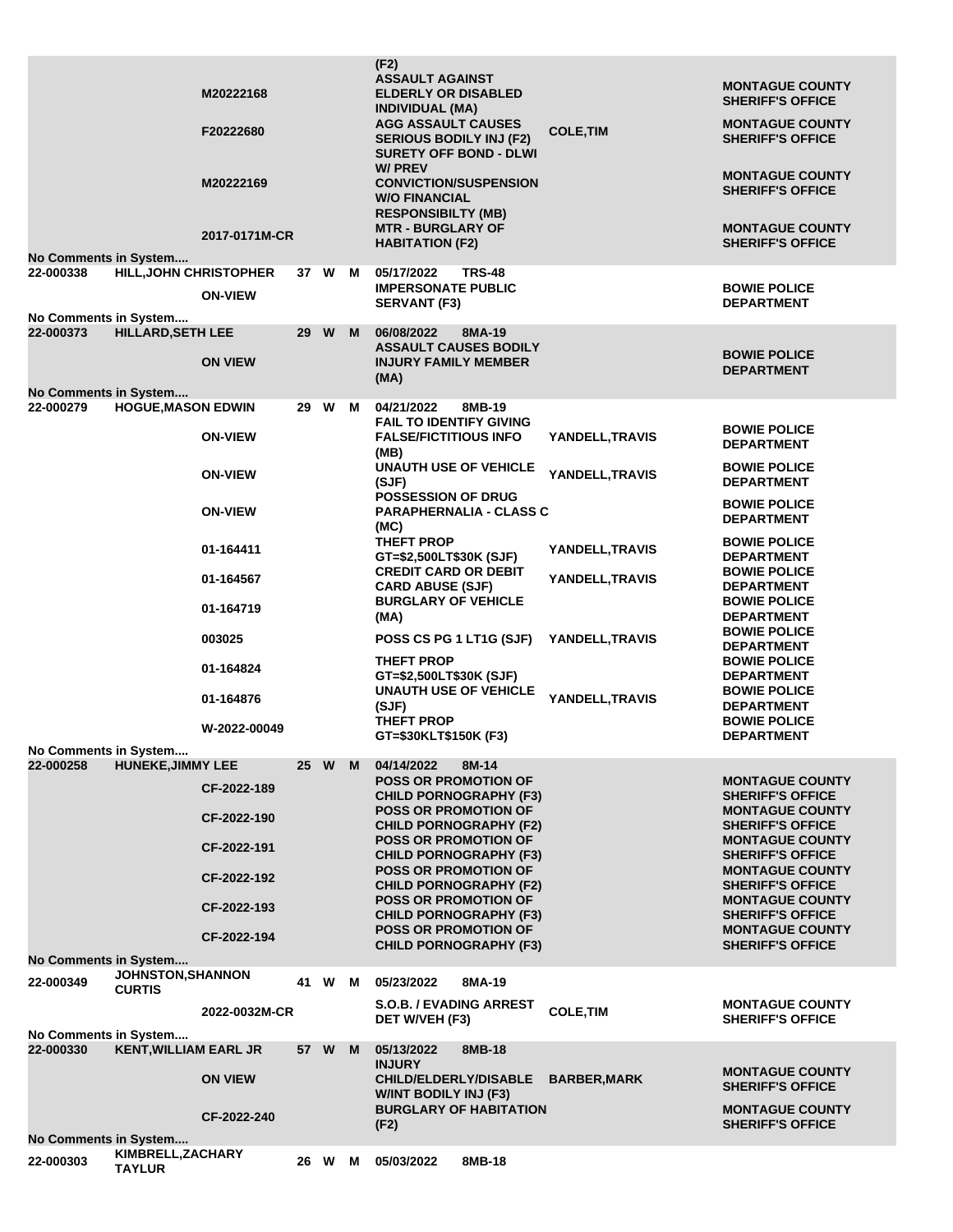| <b>No Comments in System</b>       |                                    | M20222168<br>F20222680<br>M20222169<br>2017-0171M-CR                                                                                          |      |        |   | (F2)<br><b>ASSAULT AGAINST</b><br><b>ELDERLY OR DISABLED</b><br><b>INDIVIDUAL (MA)</b><br><b>AGG ASSAULT CAUSES</b><br><b>SERIOUS BODILY INJ (F2)</b><br><b>SURETY OFF BOND - DLWI</b><br><b>W/PREV</b><br><b>CONVICTION/SUSPENSION</b><br><b>W/O FINANCIAL</b><br><b>RESPONSIBILTY (MB)</b><br><b>MTR - BURGLARY OF</b><br><b>HABITATION (F2)</b>                                                                                                                                                          | <b>COLE, TIM</b>                                                                                           | <b>MONTAGUE COUNTY</b><br><b>SHERIFF'S OFFICE</b><br><b>MONTAGUE COUNTY</b><br><b>SHERIFF'S OFFICE</b><br><b>MONTAGUE COUNTY</b><br><b>SHERIFF'S OFFICE</b><br><b>MONTAGUE COUNTY</b><br><b>SHERIFF'S OFFICE</b>                                                                                                                                                                                                                                     |
|------------------------------------|------------------------------------|-----------------------------------------------------------------------------------------------------------------------------------------------|------|--------|---|-------------------------------------------------------------------------------------------------------------------------------------------------------------------------------------------------------------------------------------------------------------------------------------------------------------------------------------------------------------------------------------------------------------------------------------------------------------------------------------------------------------|------------------------------------------------------------------------------------------------------------|------------------------------------------------------------------------------------------------------------------------------------------------------------------------------------------------------------------------------------------------------------------------------------------------------------------------------------------------------------------------------------------------------------------------------------------------------|
| 22-000338<br>No Comments in System | <b>HILL, JOHN CHRISTOPHER</b>      | <b>ON-VIEW</b>                                                                                                                                |      | 37 W   | м | 05/17/2022<br><b>TRS-48</b><br><b>IMPERSONATE PUBLIC</b><br><b>SERVANT (F3)</b>                                                                                                                                                                                                                                                                                                                                                                                                                             |                                                                                                            | <b>BOWIE POLICE</b><br><b>DEPARTMENT</b>                                                                                                                                                                                                                                                                                                                                                                                                             |
| 22-000373<br>No Comments in System | <b>HILLARD, SETH LEE</b>           | <b>ON VIEW</b>                                                                                                                                | 29 W |        | M | 06/08/2022<br>8MA-19<br><b>ASSAULT CAUSES BODILY</b><br><b>INJURY FAMILY MEMBER</b><br>(MA)                                                                                                                                                                                                                                                                                                                                                                                                                 |                                                                                                            | <b>BOWIE POLICE</b><br><b>DEPARTMENT</b>                                                                                                                                                                                                                                                                                                                                                                                                             |
| 22-000279<br>No Comments in System | <b>HOGUE, MASON EDWIN</b>          | <b>ON-VIEW</b><br><b>ON-VIEW</b><br><b>ON-VIEW</b><br>01-164411<br>01-164567<br>01-164719<br>003025<br>01-164824<br>01-164876<br>W-2022-00049 |      | 29 W   | M | 04/21/2022<br>8MB-19<br><b>FAIL TO IDENTIFY GIVING</b><br><b>FALSE/FICTITIOUS INFO</b><br>(MB)<br><b>UNAUTH USE OF VEHICLE</b><br>(SJF)<br><b>POSSESSION OF DRUG</b><br><b>PARAPHERNALIA - CLASS C</b><br>(MC)<br>THEFT PROP<br>GT=\$2,500LT\$30K (SJF)<br><b>CREDIT CARD OR DEBIT</b><br><b>CARD ABUSE (SJF)</b><br><b>BURGLARY OF VEHICLE</b><br>(MA)<br>POSS CS PG 1 LT1G (SJF)<br>THEFT PROP<br>GT=\$2,500LT\$30K (SJF)<br><b>UNAUTH USE OF VEHICLE</b><br>(SJF)<br>THEFT PROP<br>GT=\$30KLT\$150K (F3) | YANDELL,TRAVIS<br>YANDELL.TRAVIS<br>YANDELL,TRAVIS<br>YANDELL,TRAVIS<br>YANDELL, TRAVIS<br>YANDELL, TRAVIS | <b>BOWIE POLICE</b><br><b>DEPARTMENT</b><br><b>BOWIE POLICE</b><br><b>DEPARTMENT</b><br><b>BOWIE POLICE</b><br><b>DEPARTMENT</b><br><b>BOWIE POLICE</b><br><b>DEPARTMENT</b><br><b>BOWIE POLICE</b><br><b>DEPARTMENT</b><br><b>BOWIE POLICE</b><br><b>DEPARTMENT</b><br><b>BOWIE POLICE</b><br><b>DEPARTMENT</b><br><b>BOWIE POLICE</b><br><b>DEPARTMENT</b><br><b>BOWIE POLICE</b><br><b>DEPARTMENT</b><br><b>BOWIE POLICE</b><br><b>DEPARTMENT</b> |
| 22-000258<br>No Comments in System | <b>HUNEKE, JIMMY LEE</b>           | CF-2022-189<br>CF-2022-190<br>CF-2022-191<br>CF-2022-192<br>CF-2022-193<br>CF-2022-194                                                        |      | 25 W M |   | 04/14/2022<br>8M-14<br><b>POSS OR PROMOTION OF</b><br><b>CHILD PORNOGRAPHY (F3)</b><br>POSS OR PROMOTION OF<br><b>CHILD PORNOGRAPHY (F2)</b><br><b>POSS OR PROMOTION OF</b><br><b>CHILD PORNOGRAPHY (F3)</b><br><b>POSS OR PROMOTION OF</b><br><b>CHILD PORNOGRAPHY (F2)</b><br><b>POSS OR PROMOTION OF</b><br><b>CHILD PORNOGRAPHY (F3)</b><br><b>POSS OR PROMOTION OF</b><br><b>CHILD PORNOGRAPHY (F3)</b>                                                                                                |                                                                                                            | <b>MONTAGUE COUNTY</b><br><b>SHERIFF'S OFFICE</b><br><b>MONTAGUE COUNTY</b><br><b>SHERIFF'S OFFICE</b><br><b>MONTAGUE COUNTY</b><br><b>SHERIFF'S OFFICE</b><br><b>MONTAGUE COUNTY</b><br><b>SHERIFF'S OFFICE</b><br><b>MONTAGUE COUNTY</b><br><b>SHERIFF'S OFFICE</b><br><b>MONTAGUE COUNTY</b><br><b>SHERIFF'S OFFICE</b>                                                                                                                           |
| 22-000349<br>No Comments in System | JOHNSTON, SHANNON<br><b>CURTIS</b> | 2022-0032M-CR                                                                                                                                 |      | 41 W   | M | 05/23/2022<br>8MA-19<br><b>S.O.B. / EVADING ARREST</b><br>DET W/VEH (F3)                                                                                                                                                                                                                                                                                                                                                                                                                                    | <b>COLE, TIM</b>                                                                                           | <b>MONTAGUE COUNTY</b><br><b>SHERIFF'S OFFICE</b>                                                                                                                                                                                                                                                                                                                                                                                                    |
| 22-000330<br>No Comments in System | <b>KENT, WILLIAM EARL JR</b>       | <b>ON VIEW</b><br>CF-2022-240                                                                                                                 |      | 57 W   | M | 05/13/2022<br>8MB-18<br><b>INJURY</b><br><b>CHILD/ELDERLY/DISABLE</b><br><b>W/INT BODILY INJ (F3)</b><br><b>BURGLARY OF HABITATION</b><br>(F2)                                                                                                                                                                                                                                                                                                                                                              | <b>BARBER, MARK</b>                                                                                        | <b>MONTAGUE COUNTY</b><br><b>SHERIFF'S OFFICE</b><br><b>MONTAGUE COUNTY</b><br><b>SHERIFF'S OFFICE</b>                                                                                                                                                                                                                                                                                                                                               |
| 22-000303                          | KIMBRELL, ZACHARY<br><b>TAYLUR</b> |                                                                                                                                               |      | 26 W   | М | 8MB-18<br>05/03/2022                                                                                                                                                                                                                                                                                                                                                                                                                                                                                        |                                                                                                            |                                                                                                                                                                                                                                                                                                                                                                                                                                                      |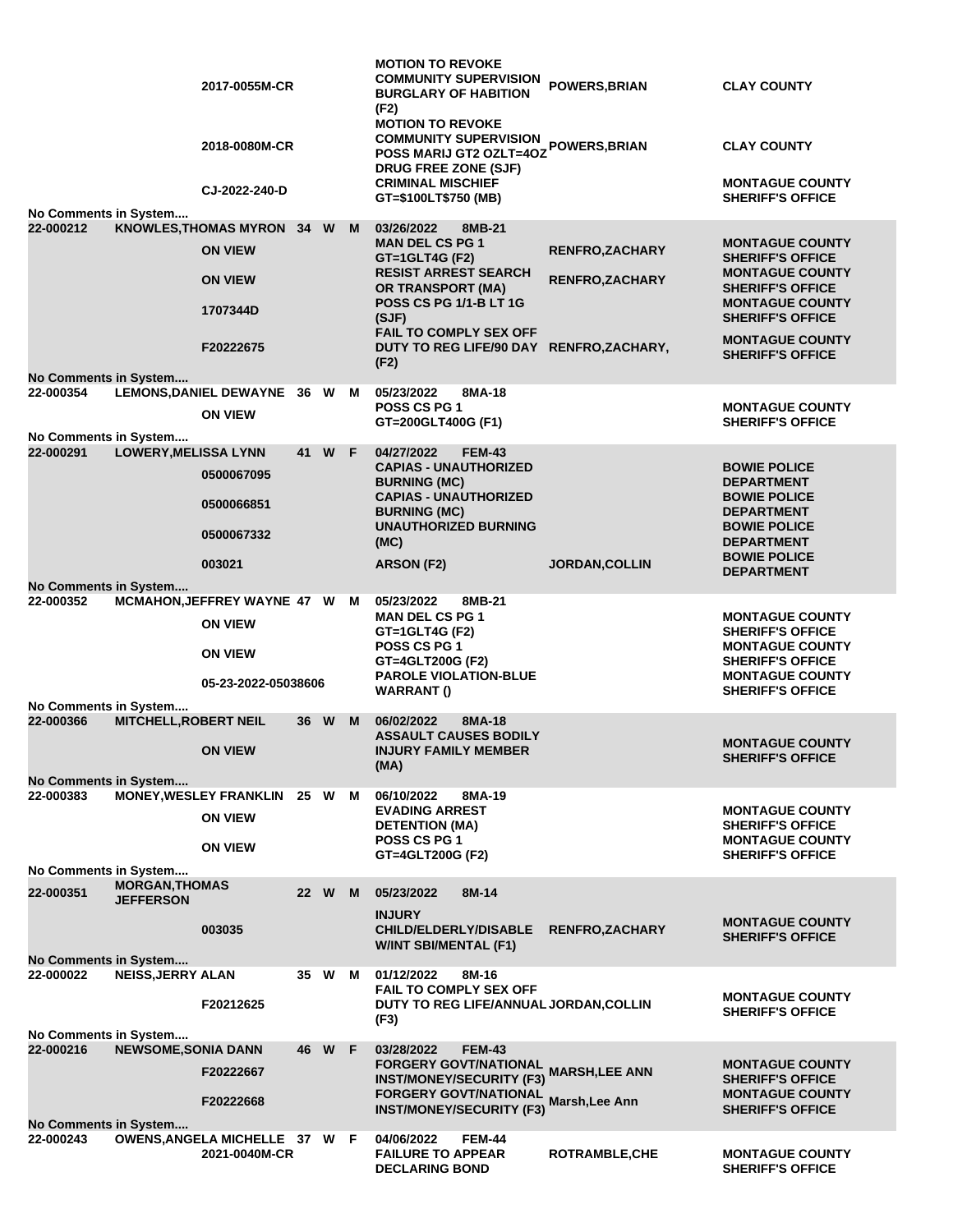|                                           |                              | 2017-0055M-CR                                   |    |        |   | <b>MOTION TO REVOKE</b><br><b>COMMUNITY SUPERVISION</b><br><b>BURGLARY OF HABITION</b><br>(F2)                    | <b>POWERS, BRIAN</b>                     | <b>CLAY COUNTY</b>                                                           |
|-------------------------------------------|------------------------------|-------------------------------------------------|----|--------|---|-------------------------------------------------------------------------------------------------------------------|------------------------------------------|------------------------------------------------------------------------------|
|                                           |                              | 2018-0080M-CR                                   |    |        |   | <b>MOTION TO REVOKE</b><br><b>COMMUNITY SUPERVISION</b><br>POSS MARIJ GT2 OZLT=4OZ<br><b>DRUG FREE ZONE (SJF)</b> | POWERS, BRIAN                            | <b>CLAY COUNTY</b>                                                           |
| No Comments in System                     |                              | CJ-2022-240-D                                   |    |        |   | <b>CRIMINAL MISCHIEF</b><br>GT=\$100LT\$750 (MB)                                                                  |                                          | <b>MONTAGUE COUNTY</b><br><b>SHERIFF'S OFFICE</b>                            |
| 22-000212                                 |                              | KNOWLES, THOMAS MYRON 34 W                      |    |        | M | 03/26/2022<br>8MB-21                                                                                              |                                          |                                                                              |
|                                           |                              | <b>ON VIEW</b>                                  |    |        |   | <b>MAN DEL CS PG 1</b>                                                                                            |                                          | <b>MONTAGUE COUNTY</b>                                                       |
|                                           |                              | <b>ON VIEW</b>                                  |    |        |   | GT=1GLT4G (F2)<br><b>RESIST ARREST SEARCH</b><br><b>OR TRANSPORT (MA)</b>                                         | RENFRO, ZACHARY<br><b>RENFRO,ZACHARY</b> | <b>SHERIFF'S OFFICE</b><br><b>MONTAGUE COUNTY</b><br><b>SHERIFF'S OFFICE</b> |
|                                           |                              | 1707344D                                        |    |        |   | <b>POSS CS PG 1/1-B LT 1G</b><br>(SJF)                                                                            |                                          | <b>MONTAGUE COUNTY</b><br><b>SHERIFF'S OFFICE</b>                            |
|                                           |                              | F20222675                                       |    |        |   | <b>FAIL TO COMPLY SEX OFF</b><br>DUTY TO REG LIFE/90 DAY RENFRO, ZACHARY,<br>(F2)                                 |                                          | <b>MONTAGUE COUNTY</b><br><b>SHERIFF'S OFFICE</b>                            |
| <b>No Comments in System</b>              |                              |                                                 |    |        |   |                                                                                                                   |                                          |                                                                              |
| 22-000354                                 |                              | LEMONS, DANIEL DEWAYNE 36 W M<br><b>ON VIEW</b> |    |        |   | 05/23/2022<br>8MA-18<br><b>POSS CS PG 1</b>                                                                       |                                          | <b>MONTAGUE COUNTY</b>                                                       |
| No Comments in System                     |                              |                                                 |    |        |   | GT=200GLT400G (F1)                                                                                                |                                          | <b>SHERIFF'S OFFICE</b>                                                      |
| 22-000291                                 | <b>LOWERY, MELISSA LYNN</b>  |                                                 | 41 | W F    |   | 04/27/2022<br><b>FEM-43</b>                                                                                       |                                          |                                                                              |
|                                           |                              | 0500067095                                      |    |        |   | <b>CAPIAS - UNAUTHORIZED</b><br><b>BURNING (MC)</b>                                                               |                                          | <b>BOWIE POLICE</b><br><b>DEPARTMENT</b>                                     |
|                                           |                              | 0500066851                                      |    |        |   | <b>CAPIAS - UNAUTHORIZED</b>                                                                                      |                                          | <b>BOWIE POLICE</b>                                                          |
|                                           |                              | 0500067332                                      |    |        |   | <b>BURNING (MC)</b><br><b>UNAUTHORIZED BURNING</b><br>(MC)                                                        |                                          | <b>DEPARTMENT</b><br><b>BOWIE POLICE</b><br><b>DEPARTMENT</b>                |
|                                           |                              | 003021                                          |    |        |   | ARSON (F2)                                                                                                        | <b>JORDAN, COLLIN</b>                    | <b>BOWIE POLICE</b>                                                          |
|                                           |                              |                                                 |    |        |   |                                                                                                                   |                                          | <b>DEPARTMENT</b>                                                            |
| <b>No Comments in System</b><br>22-000352 |                              | MCMAHON, JEFFREY WAYNE 47 W                     |    |        | M | 05/23/2022<br>8MB-21                                                                                              |                                          |                                                                              |
|                                           |                              | <b>ON VIEW</b>                                  |    |        |   | <b>MAN DEL CS PG 1</b><br>GT=1GLT4G (F2)                                                                          |                                          | <b>MONTAGUE COUNTY</b><br><b>SHERIFF'S OFFICE</b>                            |
|                                           |                              | <b>ON VIEW</b>                                  |    |        |   | POSS CS PG 1<br>GT=4GLT200G (F2)                                                                                  |                                          | <b>MONTAGUE COUNTY</b><br><b>SHERIFF'S OFFICE</b>                            |
|                                           |                              | 05-23-2022-05038606                             |    |        |   | <b>PAROLE VIOLATION-BLUE</b><br><b>WARRANT()</b>                                                                  |                                          | <b>MONTAGUE COUNTY</b><br><b>SHERIFF'S OFFICE</b>                            |
| No Comments in System                     |                              |                                                 |    |        |   |                                                                                                                   |                                          |                                                                              |
| 22-000366                                 | <b>MITCHELL, ROBERT NEIL</b> |                                                 |    | 36 W   | M | 06/02/2022<br>8MA-18                                                                                              |                                          |                                                                              |
|                                           |                              | <b>ON VIEW</b>                                  |    |        |   | <b>ASSAULT CAUSES BODILY</b><br><b>INJURY FAMILY MEMBER</b>                                                       |                                          | <b>MONTAGUE COUNTY</b>                                                       |
|                                           |                              |                                                 |    |        |   | (MA)                                                                                                              |                                          | <b>SHERIFF'S OFFICE</b>                                                      |
| <b>No Comments in System</b>              |                              |                                                 |    |        |   |                                                                                                                   |                                          |                                                                              |
| 22-000383                                 |                              | <b>MONEY, WESLEY FRANKLIN</b>                   |    | 25 W   | M | 06/10/2022<br>8MA-19<br><b>EVADING ARREST</b>                                                                     |                                          | <b>MONTAGUE COUNTY</b>                                                       |
|                                           |                              | <b>ON VIEW</b>                                  |    |        |   | <b>DETENTION (MA)</b>                                                                                             |                                          | <b>SHERIFF'S OFFICE</b>                                                      |
|                                           |                              | <b>ON VIEW</b>                                  |    |        |   | POSS CS PG 1                                                                                                      |                                          | <b>MONTAGUE COUNTY</b>                                                       |
| No Comments in System                     |                              |                                                 |    |        |   | GT=4GLT200G (F2)                                                                                                  |                                          | <b>SHERIFF'S OFFICE</b>                                                      |
| 22-000351                                 | <b>MORGAN, THOMAS</b>        |                                                 |    | 22 W M |   | 05/23/2022<br>8M-14                                                                                               |                                          |                                                                              |
|                                           | <b>JEFFERSON</b>             |                                                 |    |        |   |                                                                                                                   |                                          |                                                                              |
|                                           |                              | 003035                                          |    |        |   | <b>INJURY</b><br><b>CHILD/ELDERLY/DISABLE</b>                                                                     | <b>RENFRO, ZACHARY</b>                   | <b>MONTAGUE COUNTY</b>                                                       |
|                                           |                              |                                                 |    |        |   | <b>W/INT SBI/MENTAL (F1)</b>                                                                                      |                                          | <b>SHERIFF'S OFFICE</b>                                                      |
| No Comments in System                     |                              |                                                 |    |        |   |                                                                                                                   |                                          |                                                                              |
| 22-000022                                 | <b>NEISS, JERRY ALAN</b>     |                                                 |    | 35 W M |   | 01/12/2022<br>8M-16<br><b>FAIL TO COMPLY SEX OFF</b>                                                              |                                          |                                                                              |
|                                           |                              | F20212625                                       |    |        |   | DUTY TO REG LIFE/ANNUAL JORDAN, COLLIN                                                                            |                                          | <b>MONTAGUE COUNTY</b><br><b>SHERIFF'S OFFICE</b>                            |
|                                           |                              |                                                 |    |        |   | (F3)                                                                                                              |                                          |                                                                              |
| No Comments in System<br>22-000216        | <b>NEWSOME, SONIA DANN</b>   |                                                 |    | 46 W F |   | 03/28/2022<br><b>FEM-43</b>                                                                                       |                                          |                                                                              |
|                                           |                              | F20222667                                       |    |        |   | <b>FORGERY GOVT/NATIONAL</b>                                                                                      | <b>MARSH,LEE ANN</b>                     | <b>MONTAGUE COUNTY</b>                                                       |
|                                           |                              |                                                 |    |        |   | <b>INST/MONEY/SECURITY (F3)</b>                                                                                   |                                          | <b>SHERIFF'S OFFICE</b>                                                      |
|                                           |                              | F20222668                                       |    |        |   | <b>FORGERY GOVT/NATIONAL</b><br><b>INST/MONEY/SECURITY (F3)</b>                                                   | Marsh, Lee Ann                           | <b>MONTAGUE COUNTY</b><br><b>SHERIFF'S OFFICE</b>                            |
| No Comments in System                     |                              |                                                 |    |        |   |                                                                                                                   |                                          |                                                                              |
| 22-000243                                 |                              | OWENS, ANGELA MICHELLE 37 W F<br>2021-0040M-CR  |    |        |   | 04/06/2022<br><b>FEM-44</b>                                                                                       |                                          |                                                                              |
|                                           |                              |                                                 |    |        |   | <b>FAILURE TO APPEAR</b><br><b>DECLARING BOND</b>                                                                 | <b>ROTRAMBLE, CHE</b>                    | <b>MONTAGUE COUNTY</b><br><b>SHERIFF'S OFFICE</b>                            |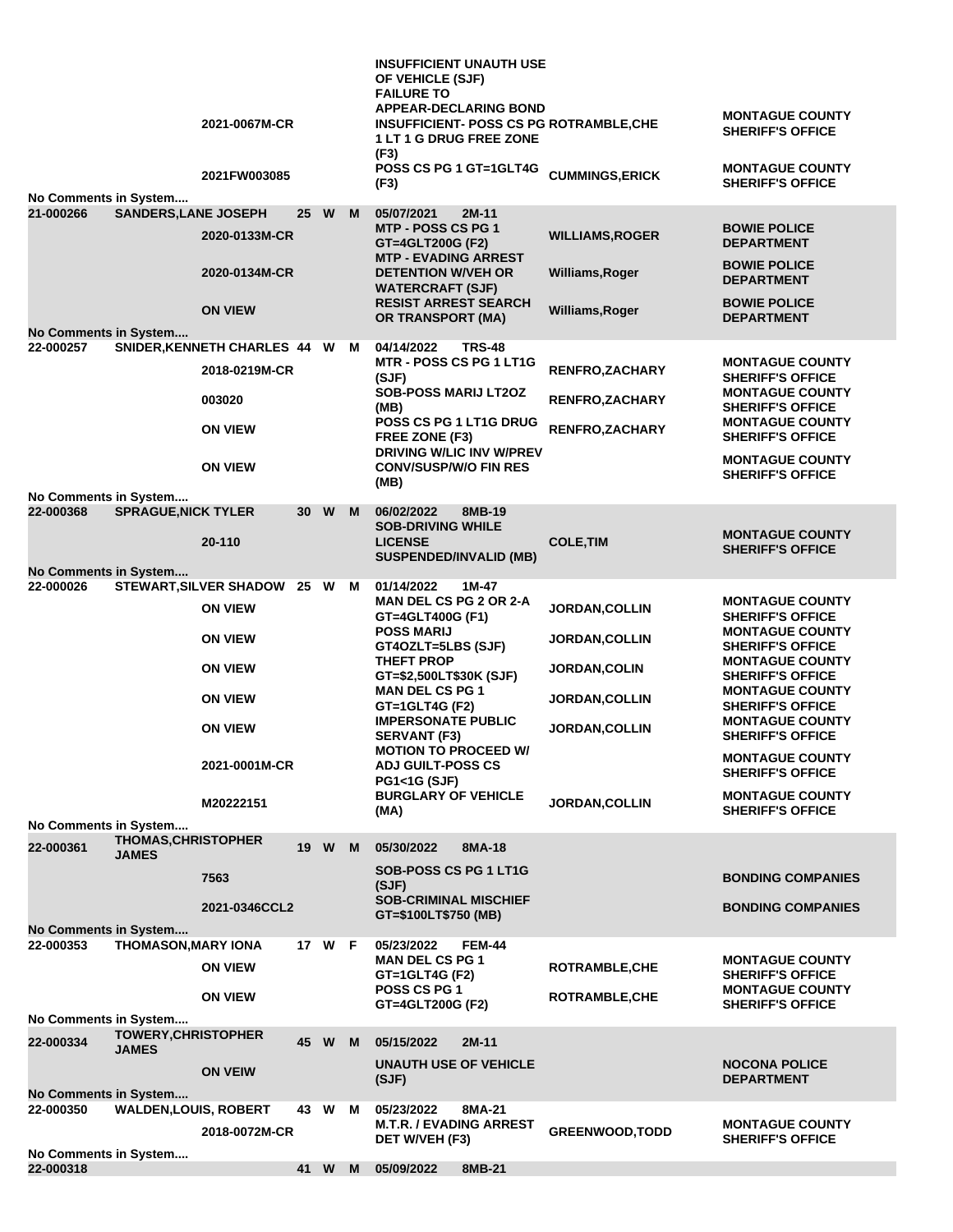|                                           |                                            | 2021-0067M-CR<br>2021FW003085    |      |        |   | <b>INSUFFICIENT UNAUTH USE</b><br>OF VEHICLE (SJF)<br><b>FAILURE TO</b><br><b>APPEAR-DECLARING BOND</b><br><b>INSUFFICIENT- POSS CS PG ROTRAMBLE, CHE</b><br><b>1 LT 1 G DRUG FREE ZONE</b><br>(F3)<br>POSS CS PG 1 GT=1GLT4G | <b>CUMMINGS, ERICK</b>                  | <b>MONTAGUE COUNTY</b><br><b>SHERIFF'S OFFICE</b><br><b>MONTAGUE COUNTY</b>  |
|-------------------------------------------|--------------------------------------------|----------------------------------|------|--------|---|-------------------------------------------------------------------------------------------------------------------------------------------------------------------------------------------------------------------------------|-----------------------------------------|------------------------------------------------------------------------------|
| No Comments in System                     |                                            |                                  |      |        |   | (F3)                                                                                                                                                                                                                          |                                         | <b>SHERIFF'S OFFICE</b>                                                      |
| 21-000266                                 | <b>SANDERS, LANE JOSEPH</b>                | 2020-0133M-CR                    | 25 W |        | M | 05/07/2021<br>$2M-11$<br>MTP - POSS CS PG 1<br>GT=4GLT200G (F2)<br><b>MTP - EVADING ARREST</b>                                                                                                                                | <b>WILLIAMS, ROGER</b>                  | <b>BOWIE POLICE</b><br><b>DEPARTMENT</b><br><b>BOWIE POLICE</b>              |
|                                           |                                            | 2020-0134M-CR                    |      |        |   | <b>DETENTION W/VEH OR</b><br><b>WATERCRAFT (SJF)</b><br><b>RESIST ARREST SEARCH</b>                                                                                                                                           | Williams, Roger                         | <b>DEPARTMENT</b><br><b>BOWIE POLICE</b>                                     |
|                                           |                                            | <b>ON VIEW</b>                   |      |        |   | OR TRANSPORT (MA)                                                                                                                                                                                                             | Williams, Roger                         | <b>DEPARTMENT</b>                                                            |
| <b>No Comments in System</b><br>22-000257 |                                            | SNIDER, KENNETH CHARLES 44 W M   |      |        |   | 04/14/2022<br><b>TRS-48</b>                                                                                                                                                                                                   |                                         |                                                                              |
|                                           |                                            | 2018-0219M-CR                    |      |        |   | MTR - POSS CS PG 1 LT1G<br>(SJF)                                                                                                                                                                                              | RENFRO, ZACHARY                         | <b>MONTAGUE COUNTY</b><br><b>SHERIFF'S OFFICE</b>                            |
|                                           |                                            | 003020                           |      |        |   | <b>SOB-POSS MARIJ LT2OZ</b><br>(MB)                                                                                                                                                                                           | <b>RENFRO, ZACHARY</b>                  | <b>MONTAGUE COUNTY</b><br><b>SHERIFF'S OFFICE</b>                            |
|                                           |                                            | <b>ON VIEW</b>                   |      |        |   | POSS CS PG 1 LT1G DRUG<br>FREE ZONE (F3)<br><b>DRIVING W/LIC INV W/PREV</b>                                                                                                                                                   | RENFRO, ZACHARY                         | <b>MONTAGUE COUNTY</b><br><b>SHERIFF'S OFFICE</b>                            |
|                                           |                                            | <b>ON VIEW</b>                   |      |        |   | <b>CONV/SUSP/W/O FIN RES</b><br>(MB)                                                                                                                                                                                          |                                         | <b>MONTAGUE COUNTY</b><br><b>SHERIFF'S OFFICE</b>                            |
| No Comments in System<br>22-000368        | <b>SPRAGUE, NICK TYLER</b>                 |                                  | 30 W |        | M | 06/02/2022<br>8MB-19                                                                                                                                                                                                          |                                         |                                                                              |
|                                           |                                            | 20-110                           |      |        |   | <b>SOB-DRIVING WHILE</b><br><b>LICENSE</b><br><b>SUSPENDED/INVALID (MB)</b>                                                                                                                                                   | <b>COLE, TIM</b>                        | <b>MONTAGUE COUNTY</b><br><b>SHERIFF'S OFFICE</b>                            |
| No Comments in System                     |                                            |                                  |      |        |   |                                                                                                                                                                                                                               |                                         |                                                                              |
| 22-000026                                 |                                            | STEWART, SILVER SHADOW 25 W      |      |        | M | 01/14/2022<br>1M-47<br><b>MAN DEL CS PG 2 OR 2-A</b>                                                                                                                                                                          |                                         | <b>MONTAGUE COUNTY</b>                                                       |
|                                           |                                            | <b>ON VIEW</b><br><b>ON VIEW</b> |      |        |   | GT=4GLT400G (F1)<br><b>POSS MARIJ</b>                                                                                                                                                                                         | JORDAN, COLLIN<br><b>JORDAN, COLLIN</b> | <b>SHERIFF'S OFFICE</b><br><b>MONTAGUE COUNTY</b>                            |
|                                           |                                            | <b>ON VIEW</b>                   |      |        |   | GT4OZLT=5LBS (SJF)<br>THEFT PROP                                                                                                                                                                                              | JORDAN, COLIN                           | <b>SHERIFF'S OFFICE</b><br><b>MONTAGUE COUNTY</b>                            |
|                                           |                                            | <b>ON VIEW</b>                   |      |        |   | GT=\$2,500LT\$30K (SJF)<br><b>MAN DEL CS PG 1</b>                                                                                                                                                                             | <b>JORDAN, COLLIN</b>                   | <b>SHERIFF'S OFFICE</b><br><b>MONTAGUE COUNTY</b>                            |
|                                           |                                            | <b>ON VIEW</b>                   |      |        |   | GT=1GLT4G (F2)<br><b>IMPERSONATE PUBLIC</b><br><b>SERVANT (F3)</b>                                                                                                                                                            | <b>JORDAN, COLLIN</b>                   | <b>SHERIFF'S OFFICE</b><br><b>MONTAGUE COUNTY</b><br><b>SHERIFF'S OFFICE</b> |
|                                           |                                            | 2021-0001M-CR                    |      |        |   | <b>MOTION TO PROCEED W/</b><br><b>ADJ GUILT-POSS CS</b>                                                                                                                                                                       |                                         | <b>MONTAGUE COUNTY</b>                                                       |
|                                           |                                            |                                  |      |        |   | <b>PG1&lt;1G (SJF)</b><br><b>BURGLARY OF VEHICLE</b>                                                                                                                                                                          |                                         | <b>SHERIFF'S OFFICE</b><br><b>MONTAGUE COUNTY</b>                            |
|                                           |                                            | M20222151                        |      |        |   | (MA)                                                                                                                                                                                                                          | <b>JORDAN, COLLIN</b>                   | <b>SHERIFF'S OFFICE</b>                                                      |
| No Comments in System                     | <b>THOMAS, CHRISTOPHER</b>                 |                                  |      |        |   |                                                                                                                                                                                                                               |                                         |                                                                              |
| 22-000361                                 | <b>JAMES</b>                               |                                  | 19   | W      | M | 05/30/2022<br>8MA-18<br><b>SOB-POSS CS PG 1 LT1G</b>                                                                                                                                                                          |                                         |                                                                              |
|                                           |                                            | 7563                             |      |        |   | (SJF)                                                                                                                                                                                                                         |                                         | <b>BONDING COMPANIES</b>                                                     |
|                                           |                                            | 2021-0346CCL2                    |      |        |   | <b>SOB-CRIMINAL MISCHIEF</b><br>GT=\$100LT\$750 (MB)                                                                                                                                                                          |                                         | <b>BONDING COMPANIES</b>                                                     |
| <b>No Comments in System</b><br>22-000353 | <b>THOMASON, MARY IONA</b>                 |                                  |      | 17 W F |   | 05/23/2022<br><b>FEM-44</b>                                                                                                                                                                                                   |                                         |                                                                              |
|                                           |                                            | <b>ON VIEW</b>                   |      |        |   | <b>MAN DEL CS PG 1</b><br>GT=1GLT4G (F2)                                                                                                                                                                                      | <b>ROTRAMBLE, CHE</b>                   | <b>MONTAGUE COUNTY</b><br><b>SHERIFF'S OFFICE</b>                            |
|                                           |                                            | <b>ON VIEW</b>                   |      |        |   | <b>POSS CS PG 1</b><br>GT=4GLT200G (F2)                                                                                                                                                                                       | <b>ROTRAMBLE, CHE</b>                   | <b>MONTAGUE COUNTY</b><br><b>SHERIFF'S OFFICE</b>                            |
| No Comments in System                     |                                            |                                  |      |        |   |                                                                                                                                                                                                                               |                                         |                                                                              |
| 22-000334                                 | <b>TOWERY, CHRISTOPHER</b><br><b>JAMES</b> |                                  | 45 W |        | M | 05/15/2022<br>$2M-11$                                                                                                                                                                                                         |                                         |                                                                              |
|                                           |                                            | <b>ON VEIW</b>                   |      |        |   | <b>UNAUTH USE OF VEHICLE</b><br>(SJF)                                                                                                                                                                                         |                                         | <b>NOCONA POLICE</b><br><b>DEPARTMENT</b>                                    |
| No Comments in System<br>22-000350        | <b>WALDEN, LOUIS, ROBERT</b>               |                                  | 43   | W      | м | 05/23/2022<br>8MA-21                                                                                                                                                                                                          |                                         |                                                                              |
|                                           |                                            | 2018-0072M-CR                    |      |        |   | <b>M.T.R. / EVADING ARREST</b><br>DET W/VEH (F3)                                                                                                                                                                              | <b>GREENWOOD, TODD</b>                  | <b>MONTAGUE COUNTY</b><br><b>SHERIFF'S OFFICE</b>                            |
| No Comments in System<br>22-000318        |                                            |                                  |      | 41 W M |   | 05/09/2022<br>8MB-21                                                                                                                                                                                                          |                                         |                                                                              |
|                                           |                                            |                                  |      |        |   |                                                                                                                                                                                                                               |                                         |                                                                              |